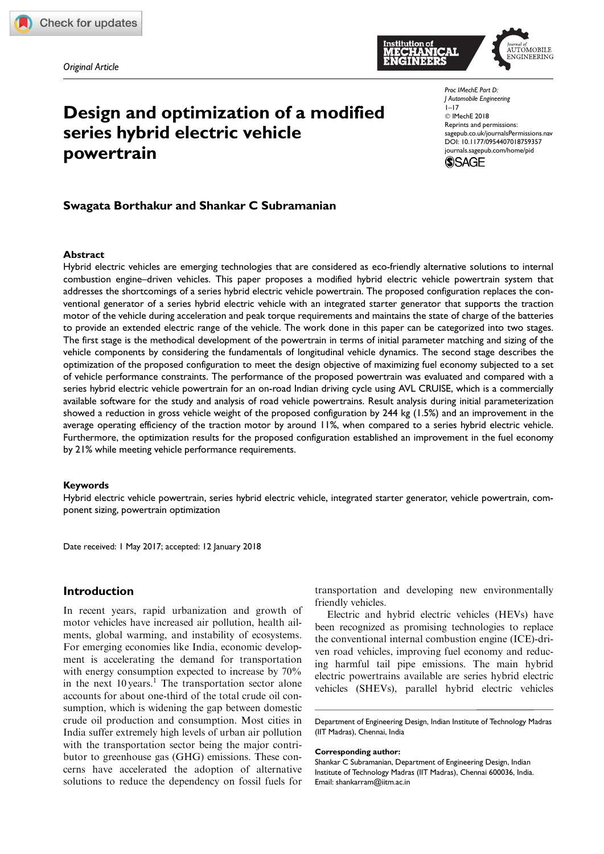*Original Article*

# Design and optimization of a modified series hybrid electric vehicle powertrain

*Proc IMechE Part D: J Automobile Engineering* 1–17 © IMechE 2018 Reprints and permissions: sagepub.co.uk/journalsPermissions.nav DOI: 10.1177/0954407018759357 journals.sagepub.com/home/pid **SSAGE** 



### Abstract

Hybrid electric vehicles are emerging technologies that are considered as eco-friendly alternative solutions to internal combustion engine–driven vehicles. This paper proposes a modified hybrid electric vehicle powertrain system that addresses the shortcomings of a series hybrid electric vehicle powertrain. The proposed configuration replaces the conventional generator of a series hybrid electric vehicle with an integrated starter generator that supports the traction motor of the vehicle during acceleration and peak torque requirements and maintains the state of charge of the batteries to provide an extended electric range of the vehicle. The work done in this paper can be categorized into two stages. The first stage is the methodical development of the powertrain in terms of initial parameter matching and sizing of the vehicle components by considering the fundamentals of longitudinal vehicle dynamics. The second stage describes the optimization of the proposed configuration to meet the design objective of maximizing fuel economy subjected to a set of vehicle performance constraints. The performance of the proposed powertrain was evaluated and compared with a series hybrid electric vehicle powertrain for an on-road Indian driving cycle using AVL CRUISE, which is a commercially available software for the study and analysis of road vehicle powertrains. Result analysis during initial parameterization showed a reduction in gross vehicle weight of the proposed configuration by 244 kg (1.5%) and an improvement in the average operating efficiency of the traction motor by around 11%, when compared to a series hybrid electric vehicle. Furthermore, the optimization results for the proposed configuration established an improvement in the fuel economy by 21% while meeting vehicle performance requirements.

### Keywords

Hybrid electric vehicle powertrain, series hybrid electric vehicle, integrated starter generator, vehicle powertrain, component sizing, powertrain optimization

Date received: 1 May 2017; accepted: 12 January 2018

## Introduction

In recent years, rapid urbanization and growth of motor vehicles have increased air pollution, health ailments, global warming, and instability of ecosystems. For emerging economies like India, economic development is accelerating the demand for transportation with energy consumption expected to increase by  $70\%$ in the next  $10 \text{ years}$ .<sup>1</sup> The transportation sector alone accounts for about one-third of the total crude oil consumption, which is widening the gap between domestic crude oil production and consumption. Most cities in India suffer extremely high levels of urban air pollution with the transportation sector being the major contributor to greenhouse gas (GHG) emissions. These concerns have accelerated the adoption of alternative solutions to reduce the dependency on fossil fuels for

transportation and developing new environmentally friendly vehicles.

Electric and hybrid electric vehicles (HEVs) have been recognized as promising technologies to replace the conventional internal combustion engine (ICE)-driven road vehicles, improving fuel economy and reducing harmful tail pipe emissions. The main hybrid electric powertrains available are series hybrid electric vehicles (SHEVs), parallel hybrid electric vehicles

Department of Engineering Design, Indian Institute of Technology Madras (IIT Madras), Chennai, India

#### Corresponding author:

Shankar C Subramanian, Department of Engineering Design, Indian Institute of Technology Madras (IIT Madras), Chennai 600036, India. Email: shankarram@iitm.ac.in

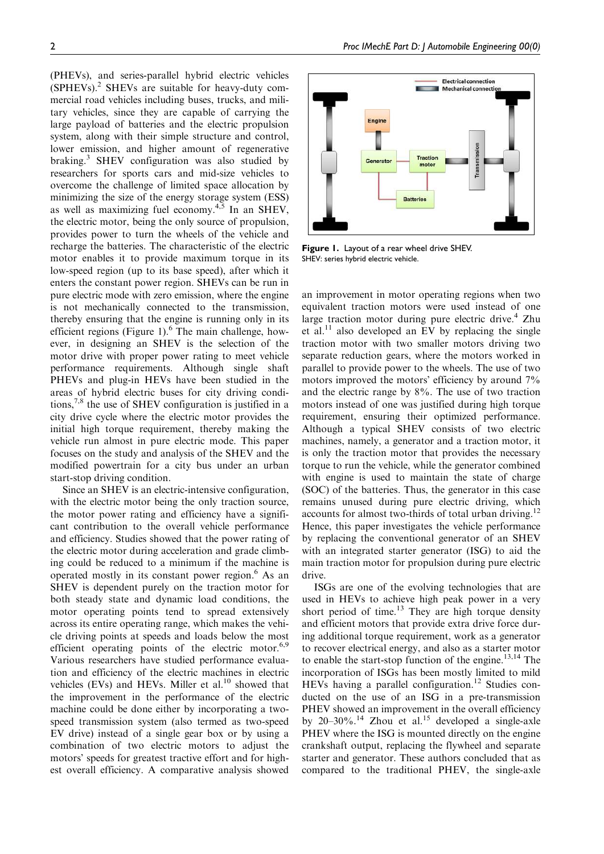(PHEVs), and series-parallel hybrid electric vehicles (SPHEVs).<sup>2</sup> SHEVs are suitable for heavy-duty commercial road vehicles including buses, trucks, and military vehicles, since they are capable of carrying the large payload of batteries and the electric propulsion system, along with their simple structure and control, lower emission, and higher amount of regenerative braking.<sup>3</sup> SHEV configuration was also studied by researchers for sports cars and mid-size vehicles to overcome the challenge of limited space allocation by minimizing the size of the energy storage system (ESS) as well as maximizing fuel economy. $4,5$  In an SHEV, the electric motor, being the only source of propulsion, provides power to turn the wheels of the vehicle and recharge the batteries. The characteristic of the electric motor enables it to provide maximum torque in its low-speed region (up to its base speed), after which it enters the constant power region. SHEVs can be run in pure electric mode with zero emission, where the engine is not mechanically connected to the transmission, thereby ensuring that the engine is running only in its efficient regions (Figure 1). $6$  The main challenge, however, in designing an SHEV is the selection of the motor drive with proper power rating to meet vehicle performance requirements. Although single shaft PHEVs and plug-in HEVs have been studied in the areas of hybrid electric buses for city driving conditions,<sup>7,8</sup> the use of SHEV configuration is justified in a city drive cycle where the electric motor provides the initial high torque requirement, thereby making the vehicle run almost in pure electric mode. This paper focuses on the study and analysis of the SHEV and the modified powertrain for a city bus under an urban start-stop driving condition.

Since an SHEV is an electric-intensive configuration, with the electric motor being the only traction source, the motor power rating and efficiency have a significant contribution to the overall vehicle performance and efficiency. Studies showed that the power rating of the electric motor during acceleration and grade climbing could be reduced to a minimum if the machine is operated mostly in its constant power region.<sup>6</sup> As an SHEV is dependent purely on the traction motor for both steady state and dynamic load conditions, the motor operating points tend to spread extensively across its entire operating range, which makes the vehicle driving points at speeds and loads below the most efficient operating points of the electric motor.<sup>6,9</sup> Various researchers have studied performance evaluation and efficiency of the electric machines in electric vehicles (EVs) and HEVs. Miller et al. $^{10}$  showed that the improvement in the performance of the electric machine could be done either by incorporating a twospeed transmission system (also termed as two-speed EV drive) instead of a single gear box or by using a combination of two electric motors to adjust the motors' speeds for greatest tractive effort and for highest overall efficiency. A comparative analysis showed



Figure 1. Layout of a rear wheel drive SHEV. SHEV: series hybrid electric vehicle.

an improvement in motor operating regions when two equivalent traction motors were used instead of one large traction motor during pure electric drive.<sup>4</sup> Zhu et al. $^{11}$  also developed an EV by replacing the single traction motor with two smaller motors driving two separate reduction gears, where the motors worked in parallel to provide power to the wheels. The use of two motors improved the motors' efficiency by around 7% and the electric range by 8%. The use of two traction motors instead of one was justified during high torque requirement, ensuring their optimized performance. Although a typical SHEV consists of two electric machines, namely, a generator and a traction motor, it is only the traction motor that provides the necessary torque to run the vehicle, while the generator combined with engine is used to maintain the state of charge (SOC) of the batteries. Thus, the generator in this case remains unused during pure electric driving, which accounts for almost two-thirds of total urban driving.<sup>12</sup> Hence, this paper investigates the vehicle performance by replacing the conventional generator of an SHEV with an integrated starter generator (ISG) to aid the main traction motor for propulsion during pure electric drive.

ISGs are one of the evolving technologies that are used in HEVs to achieve high peak power in a very short period of time.<sup>13</sup> They are high torque density and efficient motors that provide extra drive force during additional torque requirement, work as a generator to recover electrical energy, and also as a starter motor to enable the start-stop function of the engine. $^{13,14}$  The incorporation of ISGs has been mostly limited to mild  $HEV\$ s having a parallel configuration.<sup>12</sup> Studies conducted on the use of an ISG in a pre-transmission PHEV showed an improvement in the overall efficiency by  $20-30\%$ .<sup>14</sup> Zhou et al.<sup>15</sup> developed a single-axle PHEV where the ISG is mounted directly on the engine crankshaft output, replacing the flywheel and separate starter and generator. These authors concluded that as compared to the traditional PHEV, the single-axle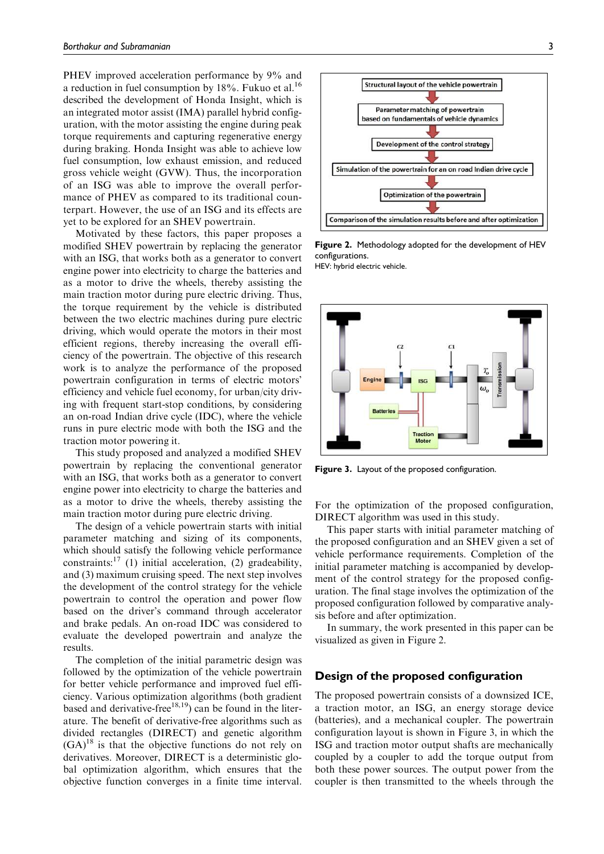PHEV improved acceleration performance by 9% and a reduction in fuel consumption by  $18\%$ . Fukuo et al.<sup>16</sup> described the development of Honda Insight, which is an integrated motor assist (IMA) parallel hybrid configuration, with the motor assisting the engine during peak torque requirements and capturing regenerative energy during braking. Honda Insight was able to achieve low fuel consumption, low exhaust emission, and reduced gross vehicle weight (GVW). Thus, the incorporation of an ISG was able to improve the overall performance of PHEV as compared to its traditional counterpart. However, the use of an ISG and its effects are yet to be explored for an SHEV powertrain.

Motivated by these factors, this paper proposes a modified SHEV powertrain by replacing the generator with an ISG, that works both as a generator to convert engine power into electricity to charge the batteries and as a motor to drive the wheels, thereby assisting the main traction motor during pure electric driving. Thus, the torque requirement by the vehicle is distributed between the two electric machines during pure electric driving, which would operate the motors in their most efficient regions, thereby increasing the overall efficiency of the powertrain. The objective of this research work is to analyze the performance of the proposed powertrain configuration in terms of electric motors' efficiency and vehicle fuel economy, for urban/city driving with frequent start-stop conditions, by considering an on-road Indian drive cycle (IDC), where the vehicle runs in pure electric mode with both the ISG and the traction motor powering it.

This study proposed and analyzed a modified SHEV powertrain by replacing the conventional generator with an ISG, that works both as a generator to convert engine power into electricity to charge the batteries and as a motor to drive the wheels, thereby assisting the main traction motor during pure electric driving.

The design of a vehicle powertrain starts with initial parameter matching and sizing of its components, which should satisfy the following vehicle performance constraints:<sup>17</sup> (1) initial acceleration, (2) gradeability, and (3) maximum cruising speed. The next step involves the development of the control strategy for the vehicle powertrain to control the operation and power flow based on the driver's command through accelerator and brake pedals. An on-road IDC was considered to evaluate the developed powertrain and analyze the results.

The completion of the initial parametric design was followed by the optimization of the vehicle powertrain for better vehicle performance and improved fuel efficiency. Various optimization algorithms (both gradient based and derivative-free<sup>18,19</sup>) can be found in the literature. The benefit of derivative-free algorithms such as divided rectangles (DIRECT) and genetic algorithm  $(GA)^{18}$  is that the objective functions do not rely on derivatives. Moreover, DIRECT is a deterministic global optimization algorithm, which ensures that the objective function converges in a finite time interval.



Figure 2. Methodology adopted for the development of HEV configurations.

HEV: hybrid electric vehicle.



Figure 3. Layout of the proposed configuration.

For the optimization of the proposed configuration, DIRECT algorithm was used in this study.

This paper starts with initial parameter matching of the proposed configuration and an SHEV given a set of vehicle performance requirements. Completion of the initial parameter matching is accompanied by development of the control strategy for the proposed configuration. The final stage involves the optimization of the proposed configuration followed by comparative analysis before and after optimization.

In summary, the work presented in this paper can be visualized as given in Figure 2.

### Design of the proposed configuration

The proposed powertrain consists of a downsized ICE, a traction motor, an ISG, an energy storage device (batteries), and a mechanical coupler. The powertrain configuration layout is shown in Figure 3, in which the ISG and traction motor output shafts are mechanically coupled by a coupler to add the torque output from both these power sources. The output power from the coupler is then transmitted to the wheels through the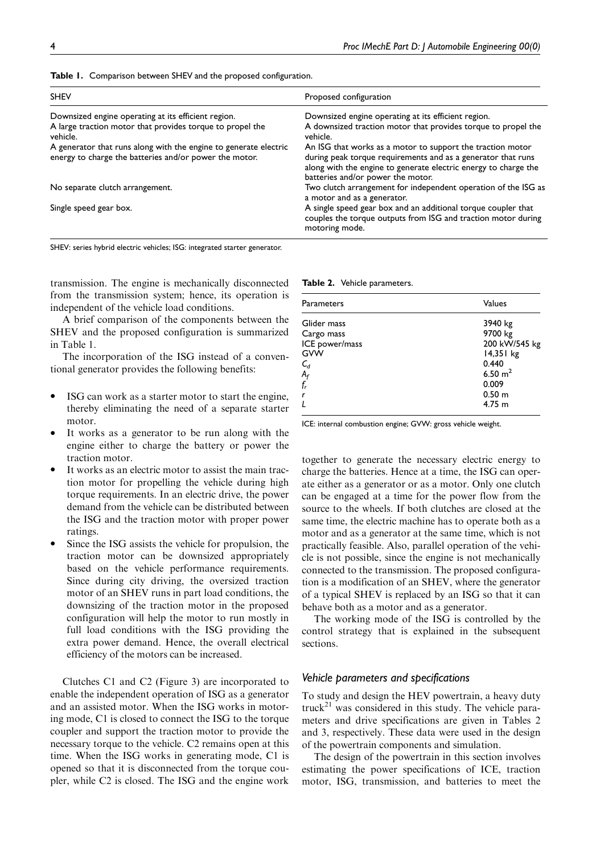| SHEV                                                                                                                       | Proposed configuration                                                                                                                                                                                                             |  |  |
|----------------------------------------------------------------------------------------------------------------------------|------------------------------------------------------------------------------------------------------------------------------------------------------------------------------------------------------------------------------------|--|--|
| Downsized engine operating at its efficient region.                                                                        | Downsized engine operating at its efficient region.                                                                                                                                                                                |  |  |
| A large traction motor that provides torque to propel the<br>vehicle.                                                      | A downsized traction motor that provides torque to propel the<br>vehicle.                                                                                                                                                          |  |  |
| A generator that runs along with the engine to generate electric<br>energy to charge the batteries and/or power the motor. | An ISG that works as a motor to support the traction motor<br>during peak torque requirements and as a generator that runs<br>along with the engine to generate electric energy to charge the<br>batteries and/or power the motor. |  |  |
| No separate clutch arrangement.                                                                                            | Two clutch arrangement for independent operation of the ISG as<br>a motor and as a generator.                                                                                                                                      |  |  |
| Single speed gear box.                                                                                                     | A single speed gear box and an additional torque coupler that<br>couples the torque outputs from ISG and traction motor during<br>motoring mode.                                                                                   |  |  |

Table 1. Comparison between SHEV and the proposed configuration.

SHEV: series hybrid electric vehicles; ISG: integrated starter generator.

transmission. The engine is mechanically disconnected from the transmission system; hence, its operation is independent of the vehicle load conditions.

A brief comparison of the components between the SHEV and the proposed configuration is summarized in Table 1.

The incorporation of the ISG instead of a conventional generator provides the following benefits:

- $\bullet$  ISG can work as a starter motor to start the engine, thereby eliminating the need of a separate starter motor.
- $\bullet$  It works as a generator to be run along with the engine either to charge the battery or power the traction motor.
- $\bullet$  It works as an electric motor to assist the main traction motor for propelling the vehicle during high torque requirements. In an electric drive, the power demand from the vehicle can be distributed between the ISG and the traction motor with proper power ratings.
- $\bullet$  Since the ISG assists the vehicle for propulsion, the traction motor can be downsized appropriately based on the vehicle performance requirements. Since during city driving, the oversized traction motor of an SHEV runs in part load conditions, the downsizing of the traction motor in the proposed configuration will help the motor to run mostly in full load conditions with the ISG providing the extra power demand. Hence, the overall electrical efficiency of the motors can be increased.

Clutches C1 and C2 (Figure 3) are incorporated to enable the independent operation of ISG as a generator and an assisted motor. When the ISG works in motoring mode, C1 is closed to connect the ISG to the torque coupler and support the traction motor to provide the necessary torque to the vehicle. C2 remains open at this time. When the ISG works in generating mode, C1 is opened so that it is disconnected from the torque coupler, while C2 is closed. The ISG and the engine work

| Parameters           | Values            |
|----------------------|-------------------|
| Glider mass          | 3940 kg           |
| Cargo mass           | 9700 kg           |
| ICE power/mass       | 200 kW/545 kg     |
| GVW                  | 14,351 kg         |
| $\mathsf{C}_d$       | 0.440             |
|                      | 6.50 $m2$         |
| A <sub>f</sub><br>fr | 0.009             |
| r                    | 0.50 <sub>m</sub> |
| L                    | 4.75 m            |

ICE: internal combustion engine; GVW: gross vehicle weight.

Table 2. Vehicle parameters.

together to generate the necessary electric energy to charge the batteries. Hence at a time, the ISG can operate either as a generator or as a motor. Only one clutch can be engaged at a time for the power flow from the source to the wheels. If both clutches are closed at the same time, the electric machine has to operate both as a motor and as a generator at the same time, which is not practically feasible. Also, parallel operation of the vehicle is not possible, since the engine is not mechanically connected to the transmission. The proposed configuration is a modification of an SHEV, where the generator of a typical SHEV is replaced by an ISG so that it can behave both as a motor and as a generator.

The working mode of the ISG is controlled by the control strategy that is explained in the subsequent sections.

### *Vehicle parameters and specifications*

To study and design the HEV powertrain, a heavy duty  $truek^{21}$  was considered in this study. The vehicle parameters and drive specifications are given in Tables 2 and 3, respectively. These data were used in the design of the powertrain components and simulation.

The design of the powertrain in this section involves estimating the power specifications of ICE, traction motor, ISG, transmission, and batteries to meet the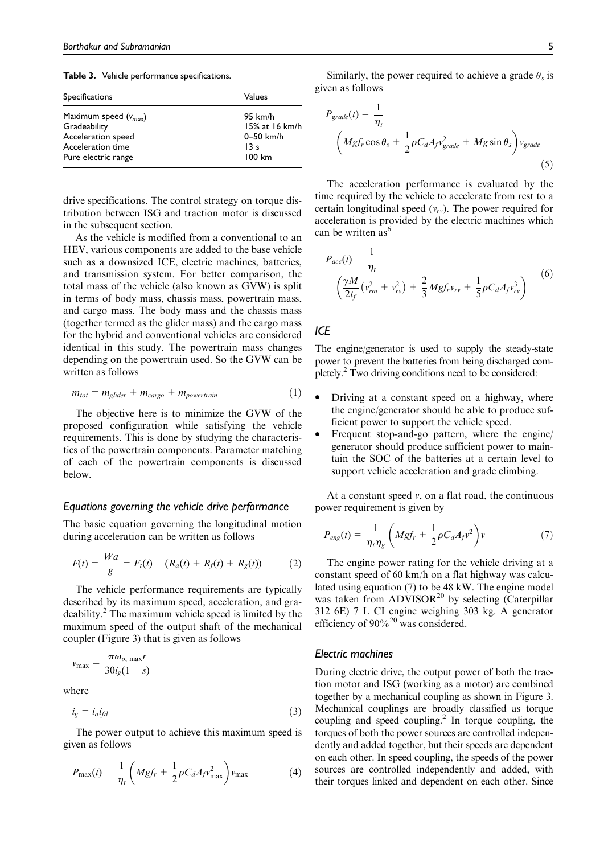Table 3. Vehicle performance specifications.

| Specifications            | Values         |
|---------------------------|----------------|
| Maximum speed $(v_{max})$ | 95 km/h        |
| Gradeability              | 15% at 16 km/h |
| Acceleration speed        | $0-50$ km/h    |
| Acceleration time         | 13s            |
| Pure electric range       | 100 km         |

drive specifications. The control strategy on torque distribution between ISG and traction motor is discussed in the subsequent section.

As the vehicle is modified from a conventional to an HEV, various components are added to the base vehicle such as a downsized ICE, electric machines, batteries, and transmission system. For better comparison, the total mass of the vehicle (also known as GVW) is split in terms of body mass, chassis mass, powertrain mass, and cargo mass. The body mass and the chassis mass (together termed as the glider mass) and the cargo mass for the hybrid and conventional vehicles are considered identical in this study. The powertrain mass changes depending on the powertrain used. So the GVW can be written as follows

$$
m_{tot} = m_{glider} + m_{cargo} + m_{powertrain}
$$
 (1)

The objective here is to minimize the GVW of the proposed configuration while satisfying the vehicle requirements. This is done by studying the characteristics of the powertrain components. Parameter matching of each of the powertrain components is discussed below.

### *Equations governing the vehicle drive performance*

The basic equation governing the longitudinal motion during acceleration can be written as follows

$$
F(t) = \frac{Wa}{g} = F_t(t) - (R_a(t) + R_f(t) + R_g(t))
$$
 (2)

The vehicle performance requirements are typically described by its maximum speed, acceleration, and gradeability.<sup>2</sup> The maximum vehicle speed is limited by the maximum speed of the output shaft of the mechanical coupler (Figure 3) that is given as follows

$$
v_{\text{max}} = \frac{\pi \omega_{o, \text{ max}} r}{30 i_g (1 - s)}
$$

where

$$
i_g = i_o i_{fd} \tag{3}
$$

The power output to achieve this maximum speed is given as follows

$$
P_{\max}(t) = \frac{1}{\eta_t} \left( Mgf_r + \frac{1}{2} \rho C_d A_f v_{\max}^2 \right) v_{\max} \tag{4}
$$

Similarly, the power required to achieve a grade  $\theta_s$  is given as follows

$$
P_{grade}(t) = \frac{1}{\eta_t}
$$
  

$$
\left(Mgf_r \cos \theta_s + \frac{1}{2}\rho C_d A_f v_{grade}^2 + Mg \sin \theta_s\right) v_{grade}
$$
 (5)

The acceleration performance is evaluated by the time required by the vehicle to accelerate from rest to a certain longitudinal speed  $(v_{rv})$ . The power required for acceleration is provided by the electric machines which can be written as<sup>6</sup>

$$
P_{acc}(t) = \frac{1}{\eta_t}
$$
  

$$
\left(\frac{\gamma M}{2t_f} (v_{rm}^2 + v_{rv}^2) + \frac{2}{3} Mgf_r v_{rv} + \frac{1}{5} \rho C_d A_f v_{rv}^3\right)
$$
 (6)

### *ICE*

The engine/generator is used to supply the steady-state power to prevent the batteries from being discharged completely.<sup>2</sup> Two driving conditions need to be considered:

- $\bullet$  Driving at a constant speed on a highway, where the engine/generator should be able to produce sufficient power to support the vehicle speed.
- $\bullet$  Frequent stop-and-go pattern, where the engine/ generator should produce sufficient power to maintain the SOC of the batteries at a certain level to support vehicle acceleration and grade climbing.

At a constant speed  $v$ , on a flat road, the continuous power requirement is given by

$$
P_{eng}(t) = \frac{1}{\eta_t \eta_g} \left( M g f_r + \frac{1}{2} \rho C_d A_f v^2 \right) v \tag{7}
$$

The engine power rating for the vehicle driving at a constant speed of 60 km/h on a flat highway was calculated using equation (7) to be 48 kW. The engine model was taken from  $ADVISOR<sup>20</sup>$  by selecting (Caterpillar 312 6E) 7 L CI engine weighing 303 kg. A generator efficiency of  $90\%^{20}$  was considered.

### *Electric machines*

During electric drive, the output power of both the traction motor and ISG (working as a motor) are combined together by a mechanical coupling as shown in Figure 3. Mechanical couplings are broadly classified as torque coupling and speed coupling.<sup>2</sup> In torque coupling, the torques of both the power sources are controlled independently and added together, but their speeds are dependent on each other. In speed coupling, the speeds of the power sources are controlled independently and added, with their torques linked and dependent on each other. Since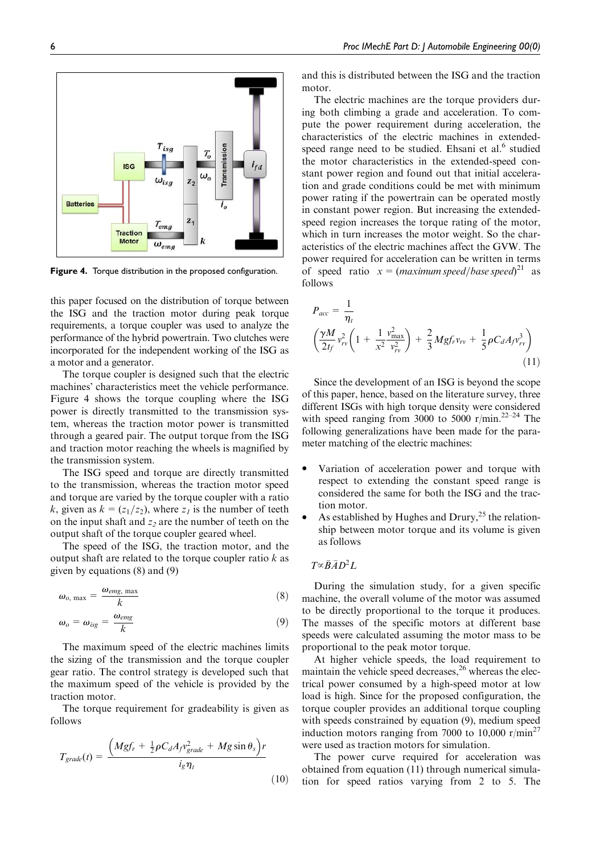and this is distributed between the ISG and the traction motor.

The electric machines are the torque providers during both climbing a grade and acceleration. To compute the power requirement during acceleration, the characteristics of the electric machines in extendedspeed range need to be studied. Ehsani et al.<sup>6</sup> studied the motor characteristics in the extended-speed constant power region and found out that initial acceleration and grade conditions could be met with minimum power rating if the powertrain can be operated mostly in constant power region. But increasing the extendedspeed region increases the torque rating of the motor, which in turn increases the motor weight. So the characteristics of the electric machines affect the GVW. The power required for acceleration can be written in terms of speed ratio  $x = (maximum speed / base speed)^{21}$  as follows

$$
P_{acc} = \frac{1}{\eta_{t}}
$$
  

$$
\left(\frac{\gamma M}{2t_{f}}v_{rv}^{2}\left(1 + \frac{1}{x^{2}}\frac{v_{\text{max}}^{2}}{v_{rv}^{2}}\right) + \frac{2}{3}Mgf_{r}v_{rv} + \frac{1}{5}\rho C_{d}A_{f}v_{rv}^{3}\right)
$$
\n(11)

Since the development of an ISG is beyond the scope of this paper, hence, based on the literature survey, three different ISGs with high torque density were considered with speed ranging from 3000 to 5000 r/min.<sup>22–24</sup> The following generalizations have been made for the parameter matching of the electric machines:

- $\bullet$  Variation of acceleration power and torque with respect to extending the constant speed range is considered the same for both the ISG and the traction motor.
- $\bullet$ As established by Hughes and Drury,<sup>25</sup> the relationship between motor torque and its volume is given as follows

# $T \propto \bar{B} \bar{A} D^2 L$

During the simulation study, for a given specific machine, the overall volume of the motor was assumed to be directly proportional to the torque it produces. The masses of the specific motors at different base speeds were calculated assuming the motor mass to be proportional to the peak motor torque.

At higher vehicle speeds, the load requirement to maintain the vehicle speed decreases,<sup>26</sup> whereas the electrical power consumed by a high-speed motor at low load is high. Since for the proposed configuration, the torque coupler provides an additional torque coupling with speeds constrained by equation (9), medium speed induction motors ranging from 7000 to 10,000  $r/min^{27}$ were used as traction motors for simulation.

The power curve required for acceleration was obtained from equation (11) through numerical simulation for speed ratios varying from 2 to 5. The

Figure 4. Torque distribution in the proposed configuration.

this paper focused on the distribution of torque between the ISG and the traction motor during peak torque requirements, a torque coupler was used to analyze the performance of the hybrid powertrain. Two clutches were incorporated for the independent working of the ISG as a motor and a generator.

The torque coupler is designed such that the electric machines' characteristics meet the vehicle performance. Figure 4 shows the torque coupling where the ISG power is directly transmitted to the transmission system, whereas the traction motor power is transmitted through a geared pair. The output torque from the ISG and traction motor reaching the wheels is magnified by the transmission system.

The ISG speed and torque are directly transmitted to the transmission, whereas the traction motor speed and torque are varied by the torque coupler with a ratio k, given as  $k = (z_1/z_2)$ , where  $z_1$  is the number of teeth on the input shaft and  $z_2$  are the number of teeth on the output shaft of the torque coupler geared wheel.

The speed of the ISG, the traction motor, and the output shaft are related to the torque coupler ratio  $k$  as given by equations (8) and (9)

$$
\omega_{o,\text{ max}} = \frac{\omega_{\text{emg},\text{ max}}}{k} \tag{8}
$$

$$
\omega_o = \omega_{\text{isg}} = \frac{\omega_{\text{emg}}}{k} \tag{9}
$$

The maximum speed of the electric machines limits the sizing of the transmission and the torque coupler gear ratio. The control strategy is developed such that the maximum speed of the vehicle is provided by the traction motor.

The torque requirement for gradeability is given as follows

$$
T_{grade}(t) = \frac{\left(Mgf_r + \frac{1}{2}\rho C_d A_f v_{grade}^2 + Mg\sin\theta_s\right)r}{i_g \eta_t}
$$
\n(10)

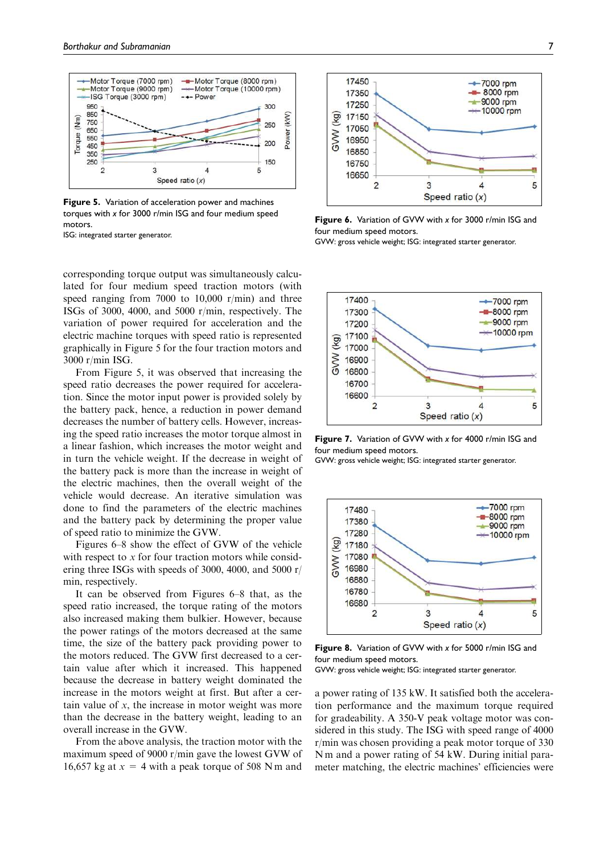

**Figure 5.** Variation of acceleration power and machines torques with *x* for 3000 r/min ISG and four medium speed motors.

ISG: integrated starter generator.

corresponding torque output was simultaneously calculated for four medium speed traction motors (with speed ranging from 7000 to 10,000 r/min) and three ISGs of 3000, 4000, and 5000 r/min, respectively. The variation of power required for acceleration and the electric machine torques with speed ratio is represented graphically in Figure 5 for the four traction motors and 3000 r/min ISG.

From Figure 5, it was observed that increasing the speed ratio decreases the power required for acceleration. Since the motor input power is provided solely by the battery pack, hence, a reduction in power demand decreases the number of battery cells. However, increasing the speed ratio increases the motor torque almost in a linear fashion, which increases the motor weight and in turn the vehicle weight. If the decrease in weight of the battery pack is more than the increase in weight of the electric machines, then the overall weight of the vehicle would decrease. An iterative simulation was done to find the parameters of the electric machines and the battery pack by determining the proper value of speed ratio to minimize the GVW.

Figures 6–8 show the effect of GVW of the vehicle with respect to  $x$  for four traction motors while considering three ISGs with speeds of 3000, 4000, and 5000 r/ min, respectively.

It can be observed from Figures 6–8 that, as the speed ratio increased, the torque rating of the motors also increased making them bulkier. However, because the power ratings of the motors decreased at the same time, the size of the battery pack providing power to the motors reduced. The GVW first decreased to a certain value after which it increased. This happened because the decrease in battery weight dominated the increase in the motors weight at first. But after a certain value of  $x$ , the increase in motor weight was more than the decrease in the battery weight, leading to an overall increase in the GVW.

From the above analysis, the traction motor with the maximum speed of 9000 r/min gave the lowest GVW of 16,657 kg at  $x = 4$  with a peak torque of 508 N m and



Figure 6. Variation of GVW with *x* for 3000 r/min ISG and four medium speed motors.

GVW: gross vehicle weight; ISG: integrated starter generator.



Figure 7. Variation of GVW with *x* for 4000 r/min ISG and four medium speed motors.

GVW: gross vehicle weight; ISG: integrated starter generator.



Figure 8. Variation of GVW with *x* for 5000 r/min ISG and four medium speed motors.

GVW: gross vehicle weight; ISG: integrated starter generator.

a power rating of 135 kW. It satisfied both the acceleration performance and the maximum torque required for gradeability. A 350-V peak voltage motor was considered in this study. The ISG with speed range of 4000 r/min was chosen providing a peak motor torque of 330 N m and a power rating of 54 kW. During initial parameter matching, the electric machines' efficiencies were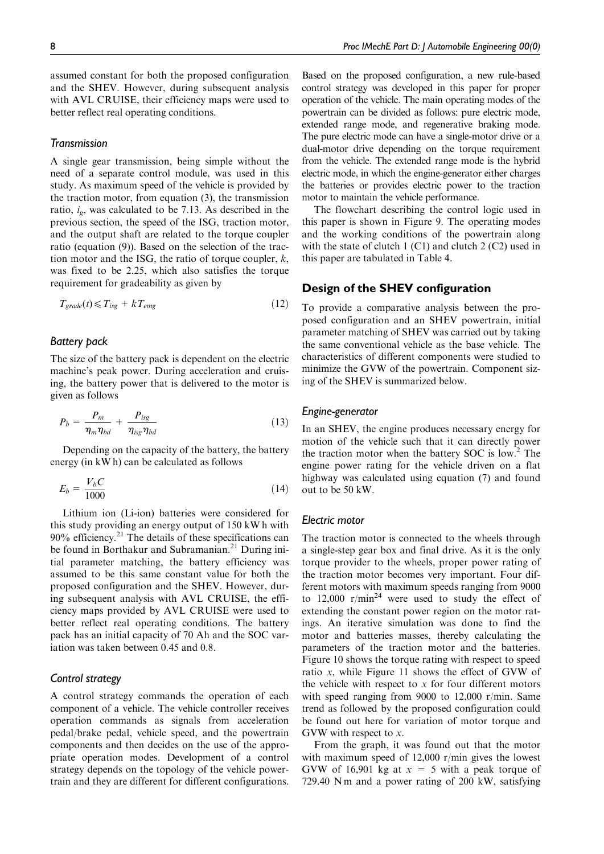assumed constant for both the proposed configuration and the SHEV. However, during subsequent analysis with AVL CRUISE, their efficiency maps were used to better reflect real operating conditions.

### *Transmission*

A single gear transmission, being simple without the need of a separate control module, was used in this study. As maximum speed of the vehicle is provided by the traction motor, from equation (3), the transmission ratio,  $i_g$ , was calculated to be 7.13. As described in the previous section, the speed of the ISG, traction motor, and the output shaft are related to the torque coupler ratio (equation (9)). Based on the selection of the traction motor and the ISG, the ratio of torque coupler,  $k$ , was fixed to be 2.25, which also satisfies the torque requirement for gradeability as given by

$$
T_{grade}(t) \leq T_{isg} + kT_{emg} \tag{12}
$$

### *Battery pack*

The size of the battery pack is dependent on the electric machine's peak power. During acceleration and cruising, the battery power that is delivered to the motor is given as follows

$$
P_b = \frac{P_m}{\eta_m \eta_{bd}} + \frac{P_{\text{isg}}}{\eta_{\text{isg}} \eta_{bd}}
$$
(13)

Depending on the capacity of the battery, the battery energy (in kW h) can be calculated as follows

$$
E_b = \frac{V_b C}{1000} \tag{14}
$$

Lithium ion (Li-ion) batteries were considered for this study providing an energy output of 150 kW h with  $90\%$  efficiency.<sup>21</sup> The details of these specifications can be found in Borthakur and Subramanian.<sup>21</sup> During initial parameter matching, the battery efficiency was assumed to be this same constant value for both the proposed configuration and the SHEV. However, during subsequent analysis with AVL CRUISE, the efficiency maps provided by AVL CRUISE were used to better reflect real operating conditions. The battery pack has an initial capacity of 70 Ah and the SOC variation was taken between 0.45 and 0.8.

### *Control strategy*

A control strategy commands the operation of each component of a vehicle. The vehicle controller receives operation commands as signals from acceleration pedal/brake pedal, vehicle speed, and the powertrain components and then decides on the use of the appropriate operation modes. Development of a control strategy depends on the topology of the vehicle powertrain and they are different for different configurations.

Based on the proposed configuration, a new rule-based control strategy was developed in this paper for proper operation of the vehicle. The main operating modes of the powertrain can be divided as follows: pure electric mode, extended range mode, and regenerative braking mode. The pure electric mode can have a single-motor drive or a dual-motor drive depending on the torque requirement from the vehicle. The extended range mode is the hybrid electric mode, in which the engine-generator either charges the batteries or provides electric power to the traction motor to maintain the vehicle performance.

The flowchart describing the control logic used in this paper is shown in Figure 9. The operating modes and the working conditions of the powertrain along with the state of clutch 1  $(C1)$  and clutch 2  $(C2)$  used in this paper are tabulated in Table 4.

### Design of the SHEV configuration

To provide a comparative analysis between the proposed configuration and an SHEV powertrain, initial parameter matching of SHEV was carried out by taking the same conventional vehicle as the base vehicle. The characteristics of different components were studied to minimize the GVW of the powertrain. Component sizing of the SHEV is summarized below.

### *Engine-generator*

In an SHEV, the engine produces necessary energy for motion of the vehicle such that it can directly power the traction motor when the battery SOC is low.<sup>2</sup> The engine power rating for the vehicle driven on a flat highway was calculated using equation (7) and found out to be 50 kW.

#### *Electric motor*

The traction motor is connected to the wheels through a single-step gear box and final drive. As it is the only torque provider to the wheels, proper power rating of the traction motor becomes very important. Four different motors with maximum speeds ranging from 9000 to 12,000  $r/min^{24}$  were used to study the effect of extending the constant power region on the motor ratings. An iterative simulation was done to find the motor and batteries masses, thereby calculating the parameters of the traction motor and the batteries. Figure 10 shows the torque rating with respect to speed ratio x, while Figure 11 shows the effect of GVW of the vehicle with respect to  $x$  for four different motors with speed ranging from 9000 to 12,000 r/min. Same trend as followed by the proposed configuration could be found out here for variation of motor torque and GVW with respect to  $x$ .

From the graph, it was found out that the motor with maximum speed of 12,000 r/min gives the lowest GVW of 16,901 kg at  $x = 5$  with a peak torque of 729.40 Nm and a power rating of 200 kW, satisfying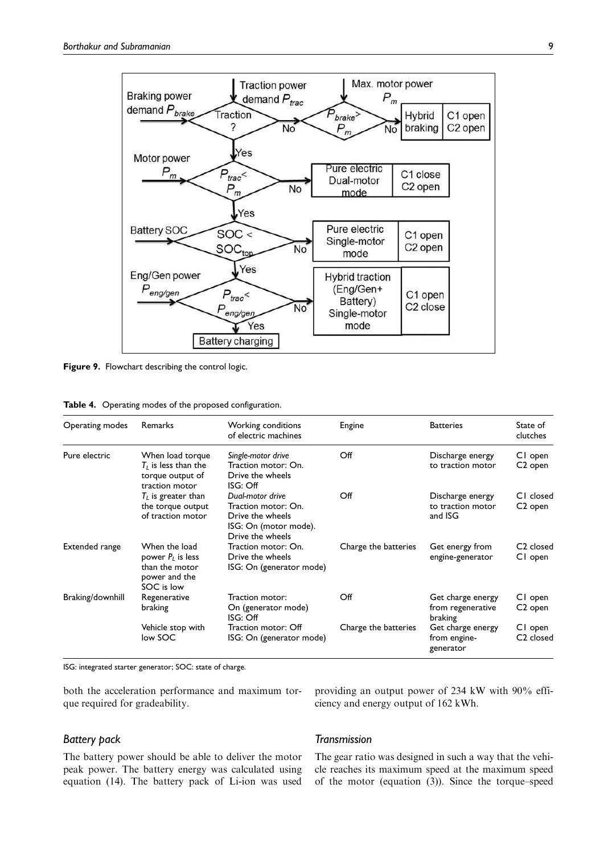

Figure 9. Flowchart describing the control logic.

Table 4. Operating modes of the proposed configuration.

| Operating modes  | Remarks                                                                               | Working conditions<br>of electric machines                                                               | Engine               | <b>Batteries</b>                                  | State of<br>clutches             |
|------------------|---------------------------------------------------------------------------------------|----------------------------------------------------------------------------------------------------------|----------------------|---------------------------------------------------|----------------------------------|
| Pure electric    | When load torque<br>$T_i$ is less than the<br>torque output of<br>traction motor      | Single-motor drive<br>Traction motor: On.<br>Drive the wheels<br>$ISG:$ $Off$                            | Off                  | Discharge energy<br>to traction motor             | CI open<br>C <sub>2</sub> open   |
|                  | $T_i$ is greater than<br>the torque output<br>of traction motor                       | Dual-motor drive<br>Traction motor: On.<br>Drive the wheels<br>ISG: On (motor mode).<br>Drive the wheels | Off                  | Discharge energy<br>to traction motor<br>and ISG  | CI closed<br>C <sub>2</sub> open |
| Extended range   | When the load<br>power $P_i$ is less<br>than the motor<br>power and the<br>SOC is low | Traction motor: On.<br>Drive the wheels<br>ISG: On (generator mode)                                      | Charge the batteries | Get energy from<br>engine-generator               | C <sub>2</sub> closed<br>CI open |
| Braking/downhill | Regenerative<br>braking                                                               | Traction motor:<br>On (generator mode)<br>$ISG:$ $Off$                                                   | Off                  | Get charge energy<br>from regenerative<br>braking | CI open<br>C <sub>2</sub> open   |
|                  | Vehicle stop with<br>low SOC                                                          | Traction motor: Off<br>ISG: On (generator mode)                                                          | Charge the batteries | Get charge energy<br>from engine-<br>generator    | CI open<br>C <sub>2</sub> closed |

ISG: integrated starter generator; SOC: state of charge.

both the acceleration performance and maximum torque required for gradeability.

### *Battery pack*

The battery power should be able to deliver the motor peak power. The battery energy was calculated using equation (14). The battery pack of Li-ion was used

providing an output power of 234 kW with 90% efficiency and energy output of 162 kWh.

### *Transmission*

The gear ratio was designed in such a way that the vehicle reaches its maximum speed at the maximum speed of the motor (equation (3)). Since the torque–speed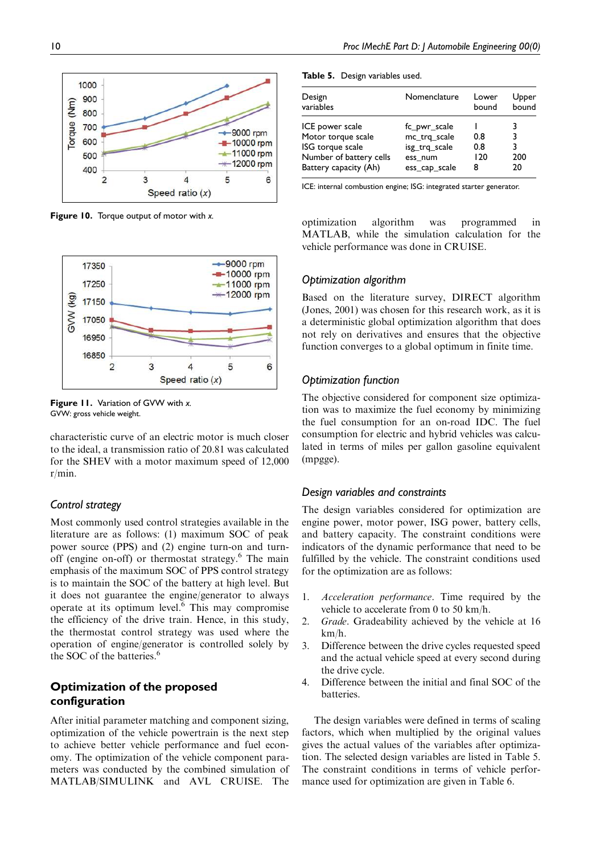

Figure 10. Torque output of motor with *x.*



Figure 11. Variation of GVW with *x.* GVW: gross vehicle weight.

characteristic curve of an electric motor is much closer to the ideal, a transmission ratio of 20.81 was calculated for the SHEV with a motor maximum speed of 12,000 r/min.

### *Control strategy*

Most commonly used control strategies available in the literature are as follows: (1) maximum SOC of peak power source (PPS) and (2) engine turn-on and turnoff (engine on-off) or thermostat strategy.<sup>6</sup> The main emphasis of the maximum SOC of PPS control strategy is to maintain the SOC of the battery at high level. But it does not guarantee the engine/generator to always operate at its optimum level. $\overline{6}$  This may compromise the efficiency of the drive train. Hence, in this study, the thermostat control strategy was used where the operation of engine/generator is controlled solely by the SOC of the batteries.<sup>6</sup>

# Optimization of the proposed configuration

After initial parameter matching and component sizing, optimization of the vehicle powertrain is the next step to achieve better vehicle performance and fuel economy. The optimization of the vehicle component parameters was conducted by the combined simulation of MATLAB/SIMULINK and AVL CRUISE. The

| Table 5. Design variables used. |  |  |  |
|---------------------------------|--|--|--|
|---------------------------------|--|--|--|

| Design<br>variables                                                                                           | Nomenclature                                                              | Lower<br>bound         | Upper<br>bound |
|---------------------------------------------------------------------------------------------------------------|---------------------------------------------------------------------------|------------------------|----------------|
| ICE power scale<br>Motor torque scale<br>ISG torque scale<br>Number of battery cells<br>Battery capacity (Ah) | fc_pwr_scale<br>mc_trq_scale<br>isg_trq_scale<br>ess num<br>ess_cap_scale | 0.8<br>0.8<br>120<br>8 | 200<br>20      |

ICE: internal combustion engine; ISG: integrated starter generator.

optimization algorithm was programmed in MATLAB, while the simulation calculation for the vehicle performance was done in CRUISE.

### *Optimization algorithm*

Based on the literature survey, DIRECT algorithm (Jones, 2001) was chosen for this research work, as it is a deterministic global optimization algorithm that does not rely on derivatives and ensures that the objective function converges to a global optimum in finite time.

### *Optimization function*

The objective considered for component size optimization was to maximize the fuel economy by minimizing the fuel consumption for an on-road IDC. The fuel consumption for electric and hybrid vehicles was calculated in terms of miles per gallon gasoline equivalent (mpgge).

### *Design variables and constraints*

The design variables considered for optimization are engine power, motor power, ISG power, battery cells, and battery capacity. The constraint conditions were indicators of the dynamic performance that need to be fulfilled by the vehicle. The constraint conditions used for the optimization are as follows:

- 1. Acceleration performance. Time required by the vehicle to accelerate from 0 to 50 km/h.
- 2. Grade. Gradeability achieved by the vehicle at 16 km/h.
- 3. Difference between the drive cycles requested speed and the actual vehicle speed at every second during the drive cycle.
- 4. Difference between the initial and final SOC of the batteries.

The design variables were defined in terms of scaling factors, which when multiplied by the original values gives the actual values of the variables after optimization. The selected design variables are listed in Table 5. The constraint conditions in terms of vehicle performance used for optimization are given in Table 6.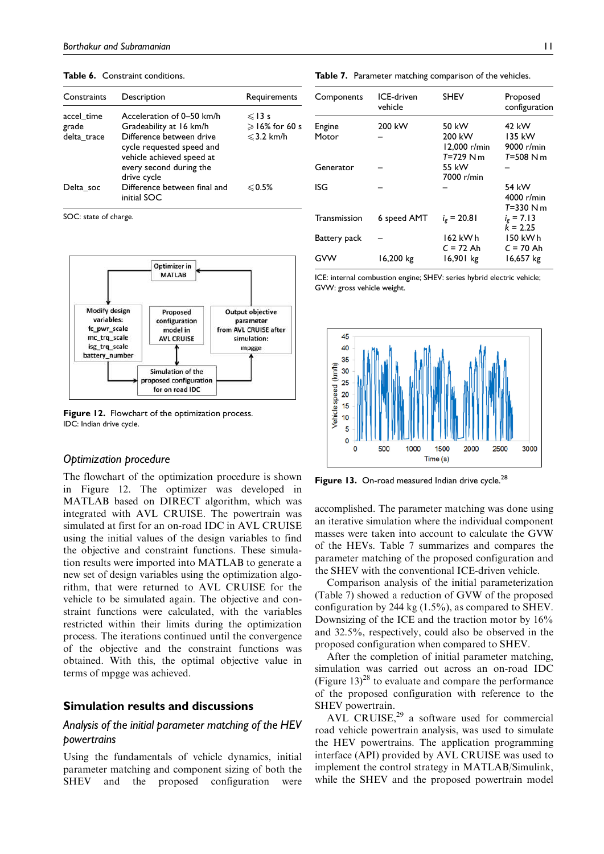Table 6. Constraint conditions.

| Description                                                                                                                                                           | Requirements                                                    |
|-----------------------------------------------------------------------------------------------------------------------------------------------------------------------|-----------------------------------------------------------------|
| Acceleration of 0-50 km/h<br>Gradeability at 16 km/h<br>Difference between drive<br>cycle requested speed and<br>vehicle achieved speed at<br>every second during the | $\leq$ 13 s<br>$\geqslant$ 16% for 60 s<br>$\leqslant$ 3.2 km/h |
| Difference between final and<br>initial SOC                                                                                                                           | $\leqslant$ 0.5%                                                |
|                                                                                                                                                                       | drive cycle                                                     |

SOC: state of charge.



Figure 12. Flowchart of the optimization process. IDC: Indian drive cycle.

### *Optimization procedure*

The flowchart of the optimization procedure is shown in Figure 12. The optimizer was developed in MATLAB based on DIRECT algorithm, which was integrated with AVL CRUISE. The powertrain was simulated at first for an on-road IDC in AVL CRUISE using the initial values of the design variables to find the objective and constraint functions. These simulation results were imported into MATLAB to generate a new set of design variables using the optimization algorithm, that were returned to AVL CRUISE for the vehicle to be simulated again. The objective and constraint functions were calculated, with the variables restricted within their limits during the optimization process. The iterations continued until the convergence of the objective and the constraint functions was obtained. With this, the optimal objective value in terms of mpgge was achieved.

# Simulation results and discussions

## *Analysis of the initial parameter matching of the HEV powertrains*

Using the fundamentals of vehicle dynamics, initial parameter matching and component sizing of both the SHEV and the proposed configuration were

Table 7. Parameter matching comparison of the vehicles.

| Components      | ICE-driven<br>vehicle | <b>SHEV</b>                                      | Proposed<br>configuration                      |
|-----------------|-----------------------|--------------------------------------------------|------------------------------------------------|
| Engine<br>Motor | 200 kW                | 50 kW<br>200 kW<br>12.000 r/min<br>$T = 729$ N m | 42 kW<br>135 kW<br>9000 r/min<br>$T = 508$ N m |
| Generator       |                       | 55 kW<br>7000 r/min                              |                                                |
| ISG             |                       |                                                  | 54 kW<br>4000 r/min<br>$T = 330$ N m           |
| Transmission    | 6 speed AMT           | $i_{g}$ = 20.81                                  | $i_{g}$ = 7.13<br>$k = 2.25$                   |
| Battery pack    |                       | 162 kWh<br>$C = 72 Ah$                           | 150 kWh<br>$C = 70$ Ah                         |
| GVW             | 16,200 kg             | 16,901 kg                                        | 16,657 kg                                      |

ICE: internal combustion engine; SHEV: series hybrid electric vehicle; GVW: gross vehicle weight.



Figure 13. On-road measured Indian drive cycle.<sup>28</sup>

accomplished. The parameter matching was done using an iterative simulation where the individual component masses were taken into account to calculate the GVW of the HEVs. Table 7 summarizes and compares the parameter matching of the proposed configuration and the SHEV with the conventional ICE-driven vehicle.

Comparison analysis of the initial parameterization (Table 7) showed a reduction of GVW of the proposed configuration by 244 kg (1.5%), as compared to SHEV. Downsizing of the ICE and the traction motor by 16% and 32.5%, respectively, could also be observed in the proposed configuration when compared to SHEV.

After the completion of initial parameter matching, simulation was carried out across an on-road IDC (Figure  $13)^{28}$  to evaluate and compare the performance of the proposed configuration with reference to the SHEV powertrain.

AVL CRUISE, $29$  a software used for commercial road vehicle powertrain analysis, was used to simulate the HEV powertrains. The application programming interface (API) provided by AVL CRUISE was used to implement the control strategy in MATLAB/Simulink, while the SHEV and the proposed powertrain model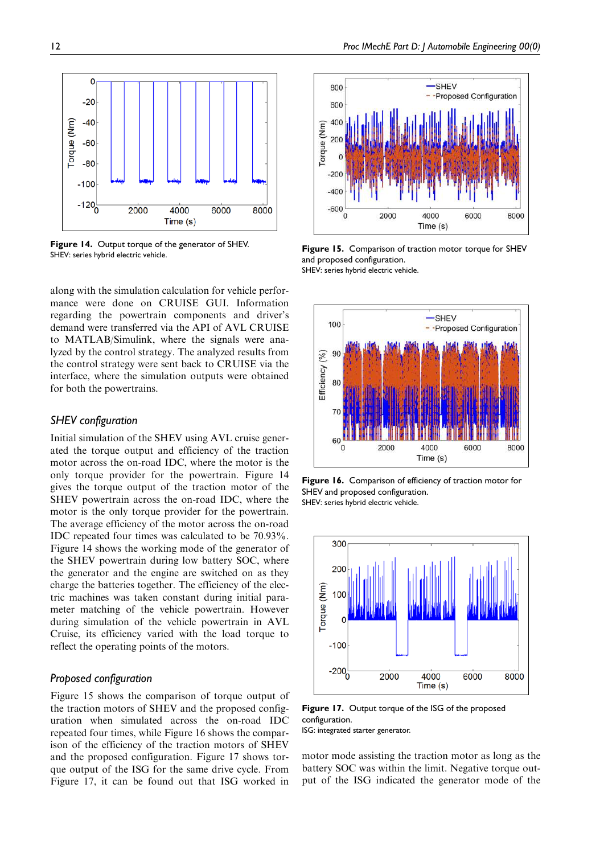

Figure 14. Output torque of the generator of SHEV. SHEV: series hybrid electric vehicle.

along with the simulation calculation for vehicle performance were done on CRUISE GUI. Information regarding the powertrain components and driver's demand were transferred via the API of AVL CRUISE to MATLAB/Simulink, where the signals were analyzed by the control strategy. The analyzed results from the control strategy were sent back to CRUISE via the interface, where the simulation outputs were obtained for both the powertrains.

### *SHEV configuration*

Initial simulation of the SHEV using AVL cruise generated the torque output and efficiency of the traction motor across the on-road IDC, where the motor is the only torque provider for the powertrain. Figure 14 gives the torque output of the traction motor of the SHEV powertrain across the on-road IDC, where the motor is the only torque provider for the powertrain. The average efficiency of the motor across the on-road IDC repeated four times was calculated to be 70.93%. Figure 14 shows the working mode of the generator of the SHEV powertrain during low battery SOC, where the generator and the engine are switched on as they charge the batteries together. The efficiency of the electric machines was taken constant during initial parameter matching of the vehicle powertrain. However during simulation of the vehicle powertrain in AVL Cruise, its efficiency varied with the load torque to reflect the operating points of the motors.

### *Proposed configuration*

Figure 15 shows the comparison of torque output of the traction motors of SHEV and the proposed configuration when simulated across the on-road IDC repeated four times, while Figure 16 shows the comparison of the efficiency of the traction motors of SHEV and the proposed configuration. Figure 17 shows torque output of the ISG for the same drive cycle. From Figure 17, it can be found out that ISG worked in



Figure 15. Comparison of traction motor torque for SHEV and proposed configuration. SHEV: series hybrid electric vehicle.



Figure 16. Comparison of efficiency of traction motor for SHEV and proposed configuration. SHEV: series hybrid electric vehicle.



Figure 17. Output torque of the ISG of the proposed configuration.

ISG: integrated starter generator.

motor mode assisting the traction motor as long as the battery SOC was within the limit. Negative torque output of the ISG indicated the generator mode of the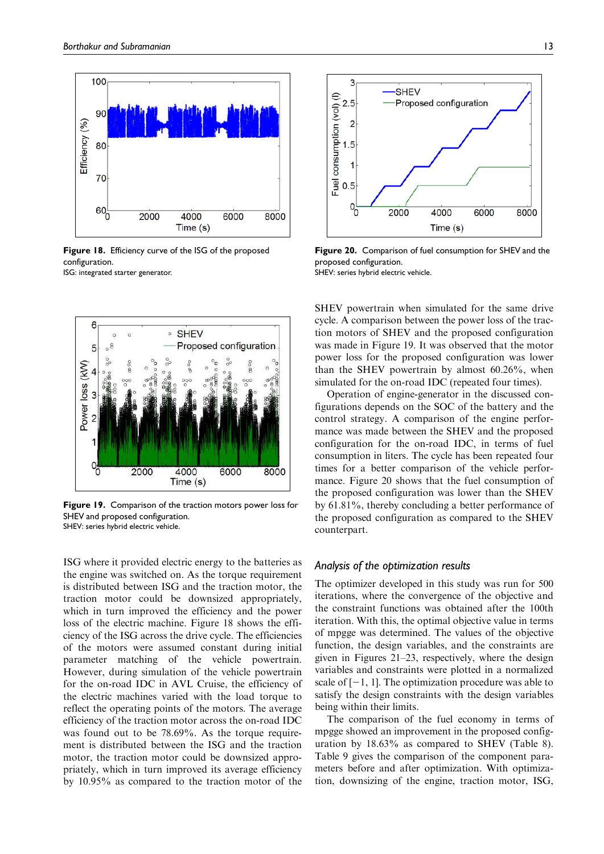

Figure 18. Efficiency curve of the ISG of the proposed configuration. ISG: integrated starter generator.



Figure 19. Comparison of the traction motors power loss for SHEV and proposed configuration. SHEV: series hybrid electric vehicle.

ISG where it provided electric energy to the batteries as the engine was switched on. As the torque requirement is distributed between ISG and the traction motor, the traction motor could be downsized appropriately, which in turn improved the efficiency and the power loss of the electric machine. Figure 18 shows the efficiency of the ISG across the drive cycle. The efficiencies of the motors were assumed constant during initial parameter matching of the vehicle powertrain. However, during simulation of the vehicle powertrain for the on-road IDC in AVL Cruise, the efficiency of the electric machines varied with the load torque to reflect the operating points of the motors. The average efficiency of the traction motor across the on-road IDC was found out to be 78.69%. As the torque requirement is distributed between the ISG and the traction motor, the traction motor could be downsized appropriately, which in turn improved its average efficiency by 10.95% as compared to the traction motor of the



Figure 20. Comparison of fuel consumption for SHEV and the proposed configuration. SHEV: series hybrid electric vehicle.

SHEV powertrain when simulated for the same drive cycle. A comparison between the power loss of the traction motors of SHEV and the proposed configuration was made in Figure 19. It was observed that the motor power loss for the proposed configuration was lower than the SHEV powertrain by almost 60.26%, when simulated for the on-road IDC (repeated four times).

Operation of engine-generator in the discussed configurations depends on the SOC of the battery and the control strategy. A comparison of the engine performance was made between the SHEV and the proposed configuration for the on-road IDC, in terms of fuel consumption in liters. The cycle has been repeated four times for a better comparison of the vehicle performance. Figure 20 shows that the fuel consumption of the proposed configuration was lower than the SHEV by 61.81%, thereby concluding a better performance of the proposed configuration as compared to the SHEV counterpart.

### *Analysis of the optimization results*

The optimizer developed in this study was run for 500 iterations, where the convergence of the objective and the constraint functions was obtained after the 100th iteration. With this, the optimal objective value in terms of mpgge was determined. The values of the objective function, the design variables, and the constraints are given in Figures 21–23, respectively, where the design variables and constraints were plotted in a normalized scale of  $[-1, 1]$ . The optimization procedure was able to satisfy the design constraints with the design variables being within their limits.

The comparison of the fuel economy in terms of mpgge showed an improvement in the proposed configuration by 18.63% as compared to SHEV (Table 8). Table 9 gives the comparison of the component parameters before and after optimization. With optimization, downsizing of the engine, traction motor, ISG,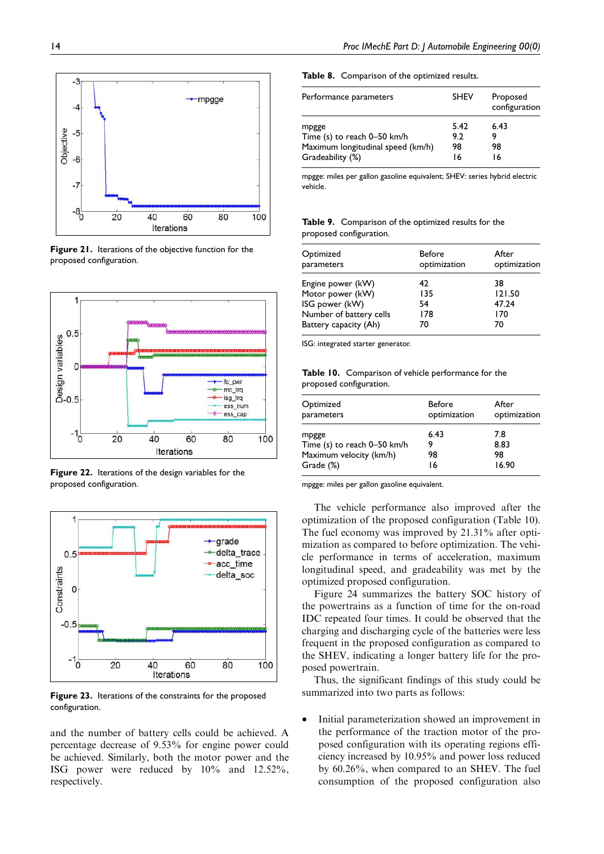

Figure 21. Iterations of the objective function for the proposed configuration.



Figure 22. Iterations of the design variables for the proposed configuration.



Figure 23. Iterations of the constraints for the proposed configuration.

and the number of battery cells could be achieved. A percentage decrease of 9.53% for engine power could be achieved. Similarly, both the motor power and the ISG power were reduced by 10% and 12.52%, respectively.

Table 8. Comparison of the optimized results.

| Performance parameters            | <b>SHEV</b> | Proposed<br>configuration |
|-----------------------------------|-------------|---------------------------|
| mpgge                             | 5.42        | 6.43                      |
| Time (s) to reach 0-50 km/h       | 9.2         | 9                         |
| Maximum longitudinal speed (km/h) | 98          | 98                        |
| Gradeability (%)                  | 16          | 16                        |

mpgge: miles per gallon gasoline equivalent; SHEV: series hybrid electric vehicle.

Table 9. Comparison of the optimized results for the proposed configuration.

| Optimized<br>parameters | <b>Before</b><br>optimization | After<br>optimization |
|-------------------------|-------------------------------|-----------------------|
| Engine power (kW)       | 42                            | 38                    |
| Motor power (kW)        | 135                           | 121.50                |
| ISG power (kW)          | 54                            | 47.24                 |
| Number of battery cells | 178                           | 170                   |
| Battery capacity (Ah)   | 70                            | 70                    |

ISG: integrated starter generator.

Table 10. Comparison of vehicle performance for the proposed configuration.

| Optimized<br>parameters     | <b>Before</b><br>optimization | After<br>optimization |
|-----------------------------|-------------------------------|-----------------------|
| mpgge                       | 6.43                          | 7.8                   |
| Time (s) to reach 0-50 km/h | 9                             | 8.83                  |
| Maximum velocity (km/h)     | 98                            | 98                    |
| Grade (%)                   | 16                            | 16.90                 |

mpgge: miles per gallon gasoline equivalent.

The vehicle performance also improved after the optimization of the proposed configuration (Table 10). The fuel economy was improved by 21.31% after optimization as compared to before optimization. The vehicle performance in terms of acceleration, maximum longitudinal speed, and gradeability was met by the optimized proposed configuration.

Figure 24 summarizes the battery SOC history of the powertrains as a function of time for the on-road IDC repeated four times. It could be observed that the charging and discharging cycle of the batteries were less frequent in the proposed configuration as compared to the SHEV, indicating a longer battery life for the proposed powertrain.

Thus, the significant findings of this study could be summarized into two parts as follows:

- Initial parameterization showed an improvement in the performance of the traction motor of the proposed configuration with its operating regions efficiency increased by 10.95% and power loss reduced by 60.26%, when compared to an SHEV. The fuel consumption of the proposed configuration also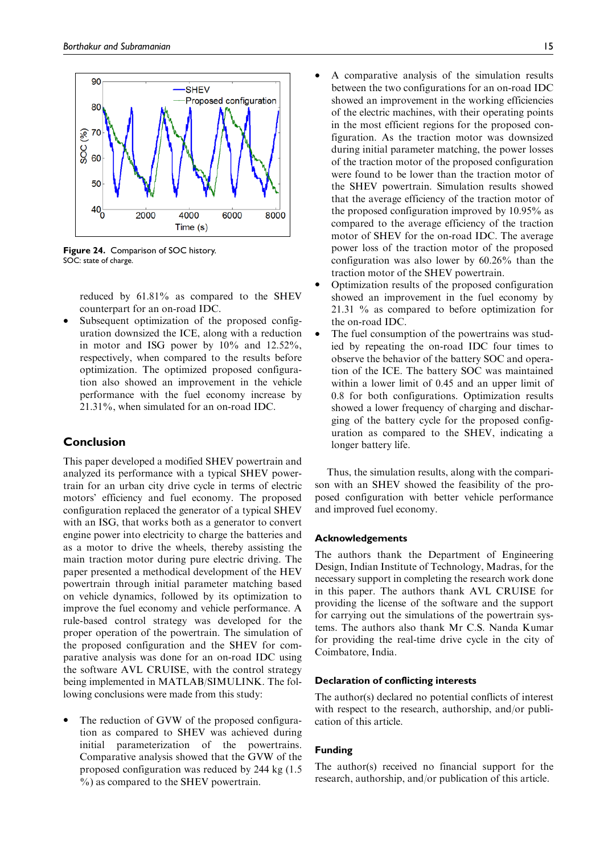

Figure 24. Comparison of SOC history. SOC: state of charge.

reduced by 61.81% as compared to the SHEV counterpart for an on-road IDC.

 $\bullet$  Subsequent optimization of the proposed configuration downsized the ICE, along with a reduction in motor and ISG power by 10% and 12.52%, respectively, when compared to the results before optimization. The optimized proposed configuration also showed an improvement in the vehicle performance with the fuel economy increase by 21.31%, when simulated for an on-road IDC.

# Conclusion

This paper developed a modified SHEV powertrain and analyzed its performance with a typical SHEV powertrain for an urban city drive cycle in terms of electric motors' efficiency and fuel economy. The proposed configuration replaced the generator of a typical SHEV with an ISG, that works both as a generator to convert engine power into electricity to charge the batteries and as a motor to drive the wheels, thereby assisting the main traction motor during pure electric driving. The paper presented a methodical development of the HEV powertrain through initial parameter matching based on vehicle dynamics, followed by its optimization to improve the fuel economy and vehicle performance. A rule-based control strategy was developed for the proper operation of the powertrain. The simulation of the proposed configuration and the SHEV for comparative analysis was done for an on-road IDC using the software AVL CRUISE, with the control strategy being implemented in MATLAB/SIMULINK. The following conclusions were made from this study:

 $\bullet$  The reduction of GVW of the proposed configuration as compared to SHEV was achieved during initial parameterization of the powertrains. Comparative analysis showed that the GVW of the proposed configuration was reduced by 244 kg (1.5 %) as compared to the SHEV powertrain.

- $\bullet$  A comparative analysis of the simulation results between the two configurations for an on-road IDC showed an improvement in the working efficiencies of the electric machines, with their operating points in the most efficient regions for the proposed configuration. As the traction motor was downsized during initial parameter matching, the power losses of the traction motor of the proposed configuration were found to be lower than the traction motor of the SHEV powertrain. Simulation results showed that the average efficiency of the traction motor of the proposed configuration improved by 10.95% as compared to the average efficiency of the traction motor of SHEV for the on-road IDC. The average power loss of the traction motor of the proposed configuration was also lower by 60.26% than the traction motor of the SHEV powertrain.
- $\bullet$  Optimization results of the proposed configuration showed an improvement in the fuel economy by 21.31 % as compared to before optimization for the on-road IDC.
- $\bullet$  The fuel consumption of the powertrains was studied by repeating the on-road IDC four times to observe the behavior of the battery SOC and operation of the ICE. The battery SOC was maintained within a lower limit of 0.45 and an upper limit of 0.8 for both configurations. Optimization results showed a lower frequency of charging and discharging of the battery cycle for the proposed configuration as compared to the SHEV, indicating a longer battery life.

Thus, the simulation results, along with the comparison with an SHEV showed the feasibility of the proposed configuration with better vehicle performance and improved fuel economy.

### Acknowledgements

The authors thank the Department of Engineering Design, Indian Institute of Technology, Madras, for the necessary support in completing the research work done in this paper. The authors thank AVL CRUISE for providing the license of the software and the support for carrying out the simulations of the powertrain systems. The authors also thank Mr C.S. Nanda Kumar for providing the real-time drive cycle in the city of Coimbatore, India.

### Declaration of conflicting interests

The author(s) declared no potential conflicts of interest with respect to the research, authorship, and/or publication of this article.

### Funding

The author(s) received no financial support for the research, authorship, and/or publication of this article.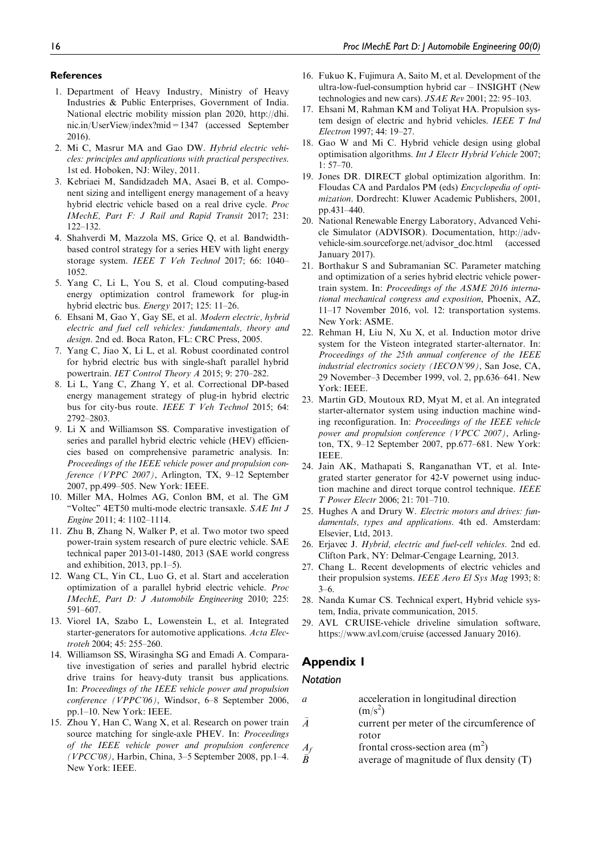#### **References**

- 1. Department of Heavy Industry, Ministry of Heavy Industries & Public Enterprises, Government of India. National electric mobility mission plan 2020, http://dhi. nic.in/UserView/index?mid=1347 (accessed September 2016).
- 2. Mi C, Masrur MA and Gao DW. Hybrid electric vehicles: principles and applications with practical perspectives. 1st ed. Hoboken, NJ: Wiley, 2011.
- 3. Kebriaei M, Sandidzadeh MA, Asaei B, et al. Component sizing and intelligent energy management of a heavy hybrid electric vehicle based on a real drive cycle. Proc IMechE, Part F: J Rail and Rapid Transit 2017; 231: 122–132.
- 4. Shahverdi M, Mazzola MS, Grice Q, et al. Bandwidthbased control strategy for a series HEV with light energy storage system. IEEE T Veh Technol 2017; 66: 1040– 1052.
- 5. Yang C, Li L, You S, et al. Cloud computing-based energy optimization control framework for plug-in hybrid electric bus. Energy 2017; 125: 11–26.
- 6. Ehsani M, Gao Y, Gay SE, et al. Modern electric, hybrid electric and fuel cell vehicles: fundamentals, theory and design. 2nd ed. Boca Raton, FL: CRC Press, 2005.
- 7. Yang C, Jiao X, Li L, et al. Robust coordinated control for hybrid electric bus with single-shaft parallel hybrid powertrain. IET Control Theory A 2015; 9: 270–282.
- 8. Li L, Yang C, Zhang Y, et al. Correctional DP-based energy management strategy of plug-in hybrid electric bus for city-bus route. IEEE T Veh Technol 2015; 64: 2792–2803.
- 9. Li X and Williamson SS. Comparative investigation of series and parallel hybrid electric vehicle (HEV) efficiencies based on comprehensive parametric analysis. In: Proceedings of the IEEE vehicle power and propulsion conference (VPPC 2007), Arlington, TX, 9–12 September 2007, pp.499–505. New York: IEEE.
- 10. Miller MA, Holmes AG, Conlon BM, et al. The GM ''Voltec'' 4ET50 multi-mode electric transaxle. SAE Int J Engine 2011; 4: 1102–1114.
- 11. Zhu B, Zhang N, Walker P, et al. Two motor two speed power-train system research of pure electric vehicle. SAE technical paper 2013-01-1480, 2013 (SAE world congress and exhibition, 2013, pp.1–5).
- 12. Wang CL, Yin CL, Luo G, et al. Start and acceleration optimization of a parallel hybrid electric vehicle. Proc IMechE, Part D: J Automobile Engineering 2010; 225: 591–607.
- 13. Viorel IA, Szabo L, Lowenstein L, et al. Integrated starter-generators for automotive applications. Acta Electroteh 2004; 45: 255–260.
- 14. Williamson SS, Wirasingha SG and Emadi A. Comparative investigation of series and parallel hybrid electric drive trains for heavy-duty transit bus applications. In: Proceedings of the IEEE vehicle power and propulsion conference (VPPC'06), Windsor, 6–8 September 2006, pp.1–10. New York: IEEE.
- 15. Zhou Y, Han C, Wang X, et al. Research on power train source matching for single-axle PHEV. In: Proceedings of the IEEE vehicle power and propulsion conference  $(VPCC'08)$ , Harbin, China, 3–5 September 2008, pp.1–4. New York: IEEE.
- 16. Fukuo K, Fujimura A, Saito M, et al. Development of the ultra-low-fuel-consumption hybrid car – INSIGHT (New technologies and new cars). JSAE Rev 2001; 22: 95–103.
- 17. Ehsani M, Rahman KM and Toliyat HA. Propulsion system design of electric and hybrid vehicles. IEEE T Ind Electron 1997; 44: 19–27.
- 18. Gao W and Mi C. Hybrid vehicle design using global optimisation algorithms. Int J Electr Hybrid Vehicle 2007; 1: 57–70.
- 19. Jones DR. DIRECT global optimization algorithm. In: Floudas CA and Pardalos PM (eds) Encyclopedia of optimization. Dordrecht: Kluwer Academic Publishers, 2001, pp.431–440.
- 20. National Renewable Energy Laboratory, Advanced Vehicle Simulator (ADVISOR). Documentation, http://advvehicle-sim.sourceforge.net/advisor\_doc.html (accessed January 2017).
- 21. Borthakur S and Subramanian SC. Parameter matching and optimization of a series hybrid electric vehicle powertrain system. In: Proceedings of the ASME 2016 international mechanical congress and exposition, Phoenix, AZ, 11–17 November 2016, vol. 12: transportation systems. New York: ASME.
- 22. Rehman H, Liu N, Xu X, et al. Induction motor drive system for the Visteon integrated starter-alternator. In: Proceedings of the 25th annual conference of the IEEE industrial electronics society (IECON'99), San Jose, CA, 29 November–3 December 1999, vol. 2, pp.636–641. New York: IEEE.
- 23. Martin GD, Moutoux RD, Myat M, et al. An integrated starter-alternator system using induction machine winding reconfiguration. In: Proceedings of the IEEE vehicle power and propulsion conference (VPCC 2007), Arlington, TX, 9–12 September 2007, pp.677–681. New York: IEEE.
- 24. Jain AK, Mathapati S, Ranganathan VT, et al. Integrated starter generator for 42-V powernet using induction machine and direct torque control technique. IEEE T Power Electr 2006; 21: 701–710.
- 25. Hughes A and Drury W. Electric motors and drives: fundamentals, types and applications. 4th ed. Amsterdam: Elsevier, Ltd, 2013.
- 26. Erjavec J. Hybrid, electric and fuel-cell vehicles. 2nd ed. Clifton Park, NY: Delmar-Cengage Learning, 2013.
- 27. Chang L. Recent developments of electric vehicles and their propulsion systems. IEEE Aero El Sys Mag 1993; 8: 3–6.
- 28. Nanda Kumar CS. Technical expert, Hybrid vehicle system, India, private communication, 2015.
- 29. AVL CRUISE-vehicle driveline simulation software, https://www.avl.com/cruise (accessed January 2016).

# Appendix 1

#### *Notation*

| $\boldsymbol{a}$      | acceleration in longitudinal direction     |
|-----------------------|--------------------------------------------|
|                       | $(m/s^2)$                                  |
| $\overline{A}$        | current per meter of the circumference of  |
|                       | rotor                                      |
| $\frac{A_f}{\bar{B}}$ | frontal cross-section area $(m2)$          |
|                       | average of magnitude of flux density $(T)$ |